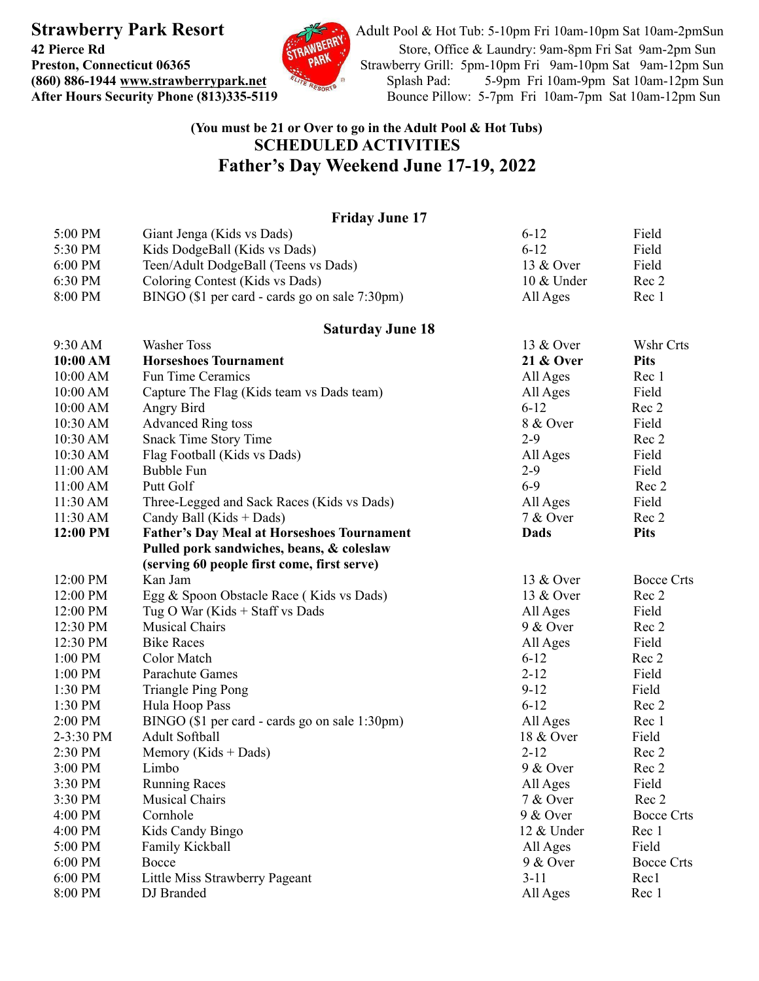

**Strawberry Park Resort** Adult Pool & Hot Tub: 5-10pm Fri 10am-10pm Sat 10am-2pmSun **42 Pierce Rd** [Store, Office & Laundry:](http://www.strawberrypark.net) 9am-8pm Fri Sat 9am-2pm Sun **Preston, Connecticut 06365** Strawberry Grill: [5pm-10pm Fri 9am-10pm Sat 9am-12pm Sun](http://www.strawberrypark.net) **(860) 886-1944** [www.strawberrypark.net](http://www.strawberrypark.net)<br> **After Hours Security Phone (813)335-5119** Bounce Pillow: 5-7pm Fri 10am-7pm Sat 10am-12pm Sun Bounce Pillow: 5-7pm Fri 10am-7pm Sat 10am-12pm Sun

## **(You must be 21 or Over to go in the Adult Pool & Hot Tubs) SCHEDULED ACTIVITIES Father's Day Weekend June 17-19, 2022**

## **Friday June 17** 5:00 PM Giant Jenga (Kids vs Dads) 6-12 Field 5:30 PM Kids DodgeBall (Kids vs Dads) 6-12 Field<br>6:00 PM Teen/Adult DodgeBall (Teens vs Dads) 6-13 & Over Field 6:00 PM Teen/Adult DodgeBall (Teens vs Dads) 13 & Over Field<br>6:30 PM Coloring Contest (Kids vs Dads) 10 & Under Rec 2 6:30 PM Coloring Contest (Kids vs Dads) 8:00 PM BINGO (\$1 per card - cards go on sale 7:30pm) All Ages Rec 1 **Saturday June 18** 9:30 AM Washer Toss 13 & Over Wshr Crts **10:00 AM Horseshoes Tournament 21 & Over Pits** 10:00 AM Fun Time Ceramics All Ages Rec 1<br>10:00 AM Capture The Flag (Kids team vs Dads team) All Ages Field 10:00 AM Capture The Flag (Kids team vs Dads team) All Ages Field 10:00 AM Angry Bird Rec 2 10:00 AM Angry Bird 6-12 Rec 2<br>
10:30 AM Advanced Ring toss 8 & Over Field 10:30 AM Snack Time Story Time 2-9 Rec 2 10:30 AM Flag Football (Kids vs Dads) All Ages Field<br>
11:00 AM Bubble Fun 2-9 Field 11:00 AM Bubble Fun 2-9 11:00 AM Putt Golf 6-9 Rec 2 11:30 AM Three-Legged and Sack Races (Kids vs Dads) All Ages Field 11:30 AM Candy Ball (Kids + Dads) 7 & Over Rec 2 **12:00 PM Father's Day Meal at Horseshoes Tournament Dads Pits Pulled pork sandwiches, beans, & coleslaw (serving 60 people first come, first serve)** 12:00 PM Kan Jam 13 & Over Bocce Crts 12:00 PM Egg & Spoon Obstacle Race (Kids vs Dads) 13 & Over Rec 2 12:00 PM Tug O War (Kids + Staff vs Dads All Ages Field 12:30 PM Musical Chairs 9 & Over Rec 2 12:30 PM Bike Races Field 1:00 PM Color Match 6-12 Rec 2 1:00 PM Color Match 6-12 Rec 2<br>
1:00 PM Parachute Games 2-12 Field<br>
1:30 PM Triangle Ping Pong 9-12 Field 1:30 PM Triangle Ping Pong 9-12 Field<br>
1:30 PM Hula Hoop Pass 6-12 Rec 2 1:30 PM Hula Hoop Pass 6-12 2:00 PM BINGO (\$1 per card - cards go on sale 1:30pm) All Ages Rec 1 2-3:30 PM Adult Softball 2018 18 & Over Field 2:30 PM Memory (Kids + Dads) 2-12 Rec 2  $3:00 \text{ PM}$  Limbo  $9 \& \text{Over}$  Rec 2 3:30 PM Running Races All Ages Field<br>3:30 PM Musical Chairs 7 & Over Rec 2 3:30 PM Musical Chairs  $7 & 0$  Over Rec 2 4:00 PM Cornhole Cornhole 9 & Over Bocce Crts 4:00 PM Kids Candy Bingo 12 & Under Rec 1 5:00 PM Family Kickball **Family Kickball** All Ages Field 6:00 PM Bocce 6:00 PM Bocce Crts 6:00 PM Little Miss Strawberry Pageant 3-11 Rec1 8:00 PM DJ Branded Rec 1